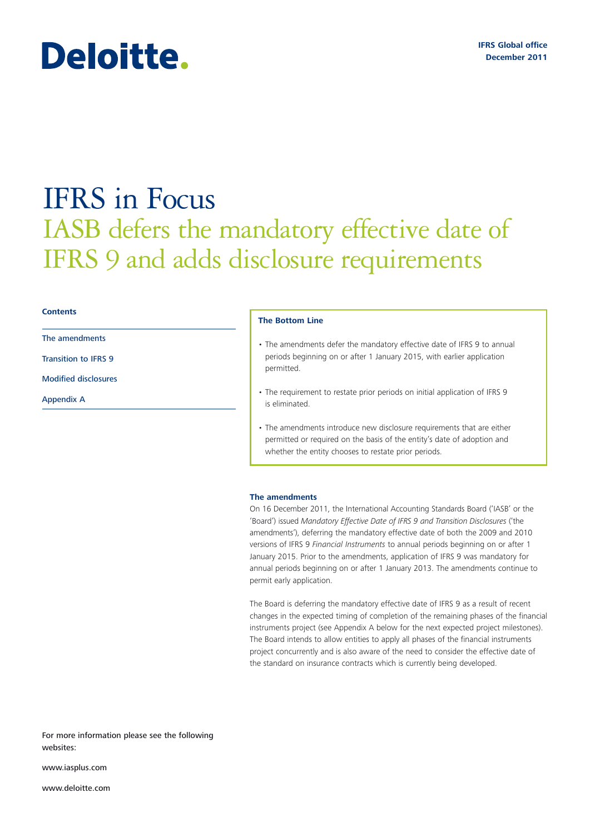# Deloitte.

## IFRS in Focus IASB defers the mandatory effective date of IFRS 9 and adds disclosure requirements

#### **Contents**

The amendments

Transition to IFRS 9

Modified disclosures

Appendix A

#### **The Bottom Line**

- The amendments defer the mandatory effective date of IFRS 9 to annual periods beginning on or after 1 January 2015, with earlier application permitted.
- The requirement to restate prior periods on initial application of IFRS 9 is eliminated.
- The amendments introduce new disclosure requirements that are either permitted or required on the basis of the entity's date of adoption and whether the entity chooses to restate prior periods.

#### **The amendments**

On 16 December 2011, the International Accounting Standards Board ('IASB' or the 'Board') issued *Mandatory Effective Date of IFRS 9 and Transition Disclosures* ('the amendments'), deferring the mandatory effective date of both the 2009 and 2010 versions of IFRS 9 *Financial Instruments* to annual periods beginning on or after 1 January 2015. Prior to the amendments, application of IFRS 9 was mandatory for annual periods beginning on or after 1 January 2013. The amendments continue to permit early application.

The Board is deferring the mandatory effective date of IFRS 9 as a result of recent changes in the expected timing of completion of the remaining phases of the financial instruments project (see Appendix A below for the next expected project milestones). The Board intends to allow entities to apply all phases of the financial instruments project concurrently and is also aware of the need to consider the effective date of the standard on insurance contracts which is currently being developed.

For more information please see the following websites:

www.iasplus.com

www.deloitte.com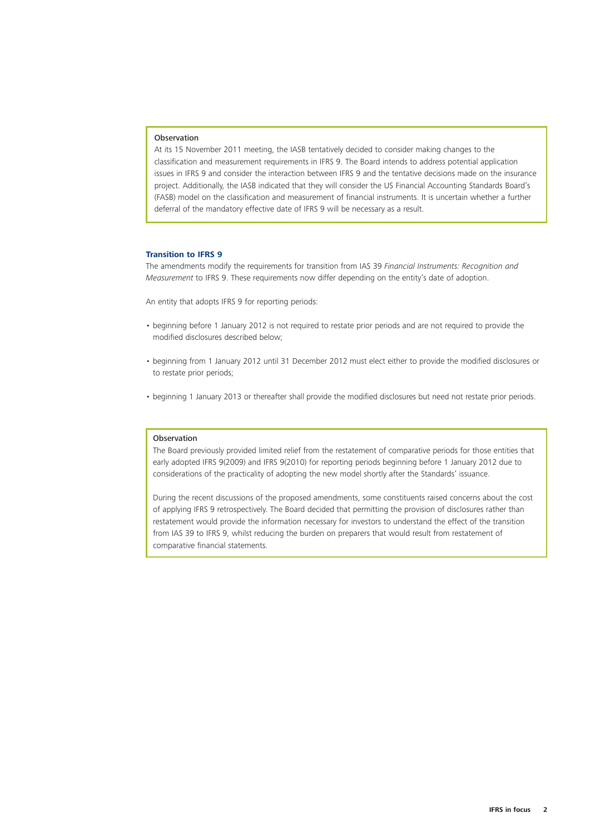#### **Observation**

At its 15 November 2011 meeting, the IASB tentatively decided to consider making changes to the classification and measurement requirements in IFRS 9. The Board intends to address potential application issues in IFRS 9 and consider the interaction between IFRS 9 and the tentative decisions made on the insurance project. Additionally, the IASB indicated that they will consider the US Financial Accounting Standards Board's (FASB) model on the classification and measurement of financial instruments. It is uncertain whether a further deferral of the mandatory effective date of IFRS 9 will be necessary as a result.

#### **Transition to IFRS 9**

The amendments modify the requirements for transition from IAS 39 *Financial Instruments: Recognition and Measurement* to IFRS 9. These requirements now differ depending on the entity's date of adoption.

An entity that adopts IFRS 9 for reporting periods:

- beginning before 1 January 2012 is not required to restate prior periods and are not required to provide the modified disclosures described below;
- beginning from 1 January 2012 until 31 December 2012 must elect either to provide the modified disclosures or to restate prior periods;
- beginning 1 January 2013 or thereafter shall provide the modified disclosures but need not restate prior periods.

#### Observation

The Board previously provided limited relief from the restatement of comparative periods for those entities that early adopted IFRS 9(2009) and IFRS 9(2010) for reporting periods beginning before 1 January 2012 due to considerations of the practicality of adopting the new model shortly after the Standards' issuance.

During the recent discussions of the proposed amendments, some constituents raised concerns about the cost of applying IFRS 9 retrospectively. The Board decided that permitting the provision of disclosures rather than restatement would provide the information necessary for investors to understand the effect of the transition from IAS 39 to IFRS 9, whilst reducing the burden on preparers that would result from restatement of comparative financial statements.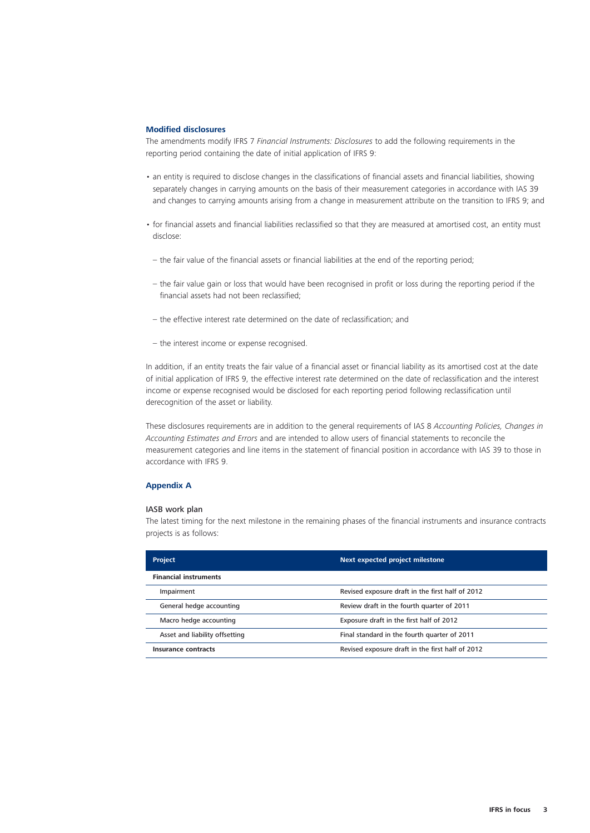#### **Modified disclosures**

The amendments modify IFRS 7 *Financial Instruments: Disclosures* to add the following requirements in the reporting period containing the date of initial application of IFRS 9:

- an entity is required to disclose changes in the classifications of financial assets and financial liabilities, showing separately changes in carrying amounts on the basis of their measurement categories in accordance with IAS 39 and changes to carrying amounts arising from a change in measurement attribute on the transition to IFRS 9; and
- for financial assets and financial liabilities reclassified so that they are measured at amortised cost, an entity must disclose:
- the fair value of the financial assets or financial liabilities at the end of the reporting period;
- the fair value gain or loss that would have been recognised in profit or loss during the reporting period if the financial assets had not been reclassified;
- the effective interest rate determined on the date of reclassification; and
- the interest income or expense recognised.

In addition, if an entity treats the fair value of a financial asset or financial liability as its amortised cost at the date of initial application of IFRS 9, the effective interest rate determined on the date of reclassification and the interest income or expense recognised would be disclosed for each reporting period following reclassification until derecognition of the asset or liability.

These disclosures requirements are in addition to the general requirements of IAS 8 *Accounting Policies, Changes in Accounting Estimates and Errors* and are intended to allow users of financial statements to reconcile the measurement categories and line items in the statement of financial position in accordance with IAS 39 to those in accordance with IFRS 9.

#### **Appendix A**

#### IASB work plan

The latest timing for the next milestone in the remaining phases of the financial instruments and insurance contracts projects is as follows:

| <b>Project</b>                 | Next expected project milestone                  |
|--------------------------------|--------------------------------------------------|
| <b>Financial instruments</b>   |                                                  |
| Impairment                     | Revised exposure draft in the first half of 2012 |
| General hedge accounting       | Review draft in the fourth quarter of 2011       |
| Macro hedge accounting         | Exposure draft in the first half of 2012         |
| Asset and liability offsetting | Final standard in the fourth quarter of 2011     |
| Insurance contracts            | Revised exposure draft in the first half of 2012 |